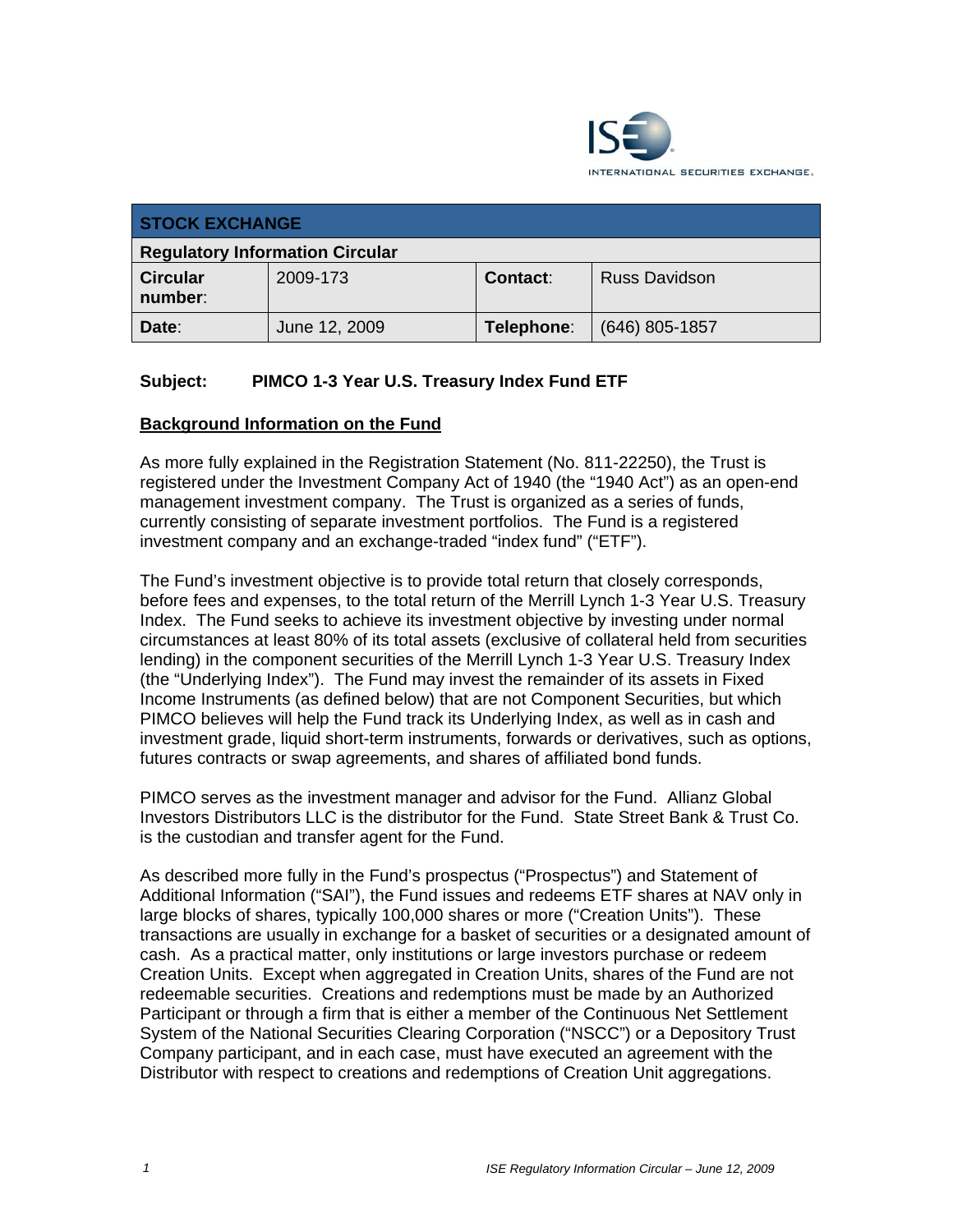

| <b>STOCK EXCHANGE</b>                  |               |                 |                      |
|----------------------------------------|---------------|-----------------|----------------------|
| <b>Regulatory Information Circular</b> |               |                 |                      |
| <b>Circular</b><br>number:             | 2009-173      | <b>Contact:</b> | <b>Russ Davidson</b> |
| Date:                                  | June 12, 2009 | Telephone:      | (646) 805-1857       |

# **Subject: PIMCO 1-3 Year U.S. Treasury Index Fund ETF**

# **Background Information on the Fund**

As more fully explained in the Registration Statement (No. 811-22250), the Trust is registered under the Investment Company Act of 1940 (the "1940 Act") as an open-end management investment company. The Trust is organized as a series of funds, currently consisting of separate investment portfolios. The Fund is a registered investment company and an exchange-traded "index fund" ("ETF").

The Fund's investment objective is to provide total return that closely corresponds, before fees and expenses, to the total return of the Merrill Lynch 1-3 Year U.S. Treasury Index. The Fund seeks to achieve its investment objective by investing under normal circumstances at least 80% of its total assets (exclusive of collateral held from securities lending) in the component securities of the Merrill Lynch 1-3 Year U.S. Treasury Index (the "Underlying Index"). The Fund may invest the remainder of its assets in Fixed Income Instruments (as defined below) that are not Component Securities, but which PIMCO believes will help the Fund track its Underlying Index, as well as in cash and investment grade, liquid short-term instruments, forwards or derivatives, such as options, futures contracts or swap agreements, and shares of affiliated bond funds.

PIMCO serves as the investment manager and advisor for the Fund. Allianz Global Investors Distributors LLC is the distributor for the Fund. State Street Bank & Trust Co. is the custodian and transfer agent for the Fund.

As described more fully in the Fund's prospectus ("Prospectus") and Statement of Additional Information ("SAI"), the Fund issues and redeems ETF shares at NAV only in large blocks of shares, typically 100,000 shares or more ("Creation Units"). These transactions are usually in exchange for a basket of securities or a designated amount of cash. As a practical matter, only institutions or large investors purchase or redeem Creation Units. Except when aggregated in Creation Units, shares of the Fund are not redeemable securities. Creations and redemptions must be made by an Authorized Participant or through a firm that is either a member of the Continuous Net Settlement System of the National Securities Clearing Corporation ("NSCC") or a Depository Trust Company participant, and in each case, must have executed an agreement with the Distributor with respect to creations and redemptions of Creation Unit aggregations.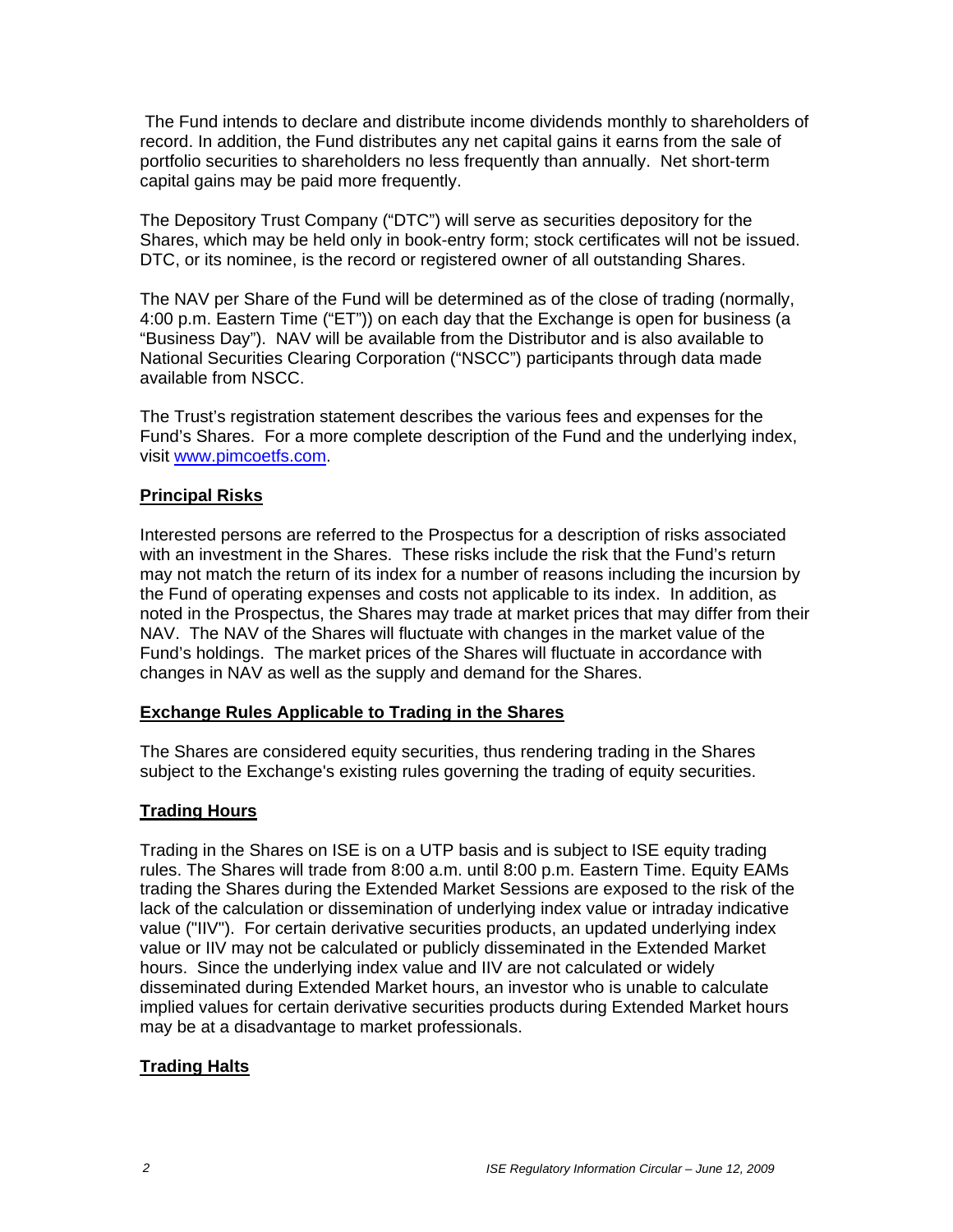The Fund intends to declare and distribute income dividends monthly to shareholders of record. In addition, the Fund distributes any net capital gains it earns from the sale of portfolio securities to shareholders no less frequently than annually. Net short-term capital gains may be paid more frequently.

The Depository Trust Company ("DTC") will serve as securities depository for the Shares, which may be held only in book-entry form; stock certificates will not be issued. DTC, or its nominee, is the record or registered owner of all outstanding Shares.

The NAV per Share of the Fund will be determined as of the close of trading (normally, 4:00 p.m. Eastern Time ("ET")) on each day that the Exchange is open for business (a "Business Day"). NAV will be available from the Distributor and is also available to National Securities Clearing Corporation ("NSCC") participants through data made available from NSCC.

The Trust's registration statement describes the various fees and expenses for the Fund's Shares. For a more complete description of the Fund and the underlying index, visit www.pimcoetfs.com.

#### **Principal Risks**

Interested persons are referred to the Prospectus for a description of risks associated with an investment in the Shares. These risks include the risk that the Fund's return may not match the return of its index for a number of reasons including the incursion by the Fund of operating expenses and costs not applicable to its index. In addition, as noted in the Prospectus, the Shares may trade at market prices that may differ from their NAV. The NAV of the Shares will fluctuate with changes in the market value of the Fund's holdings. The market prices of the Shares will fluctuate in accordance with changes in NAV as well as the supply and demand for the Shares.

#### **Exchange Rules Applicable to Trading in the Shares**

The Shares are considered equity securities, thus rendering trading in the Shares subject to the Exchange's existing rules governing the trading of equity securities.

#### **Trading Hours**

Trading in the Shares on ISE is on a UTP basis and is subject to ISE equity trading rules. The Shares will trade from 8:00 a.m. until 8:00 p.m. Eastern Time. Equity EAMs trading the Shares during the Extended Market Sessions are exposed to the risk of the lack of the calculation or dissemination of underlying index value or intraday indicative value ("IIV"). For certain derivative securities products, an updated underlying index value or IIV may not be calculated or publicly disseminated in the Extended Market hours. Since the underlying index value and IIV are not calculated or widely disseminated during Extended Market hours, an investor who is unable to calculate implied values for certain derivative securities products during Extended Market hours may be at a disadvantage to market professionals.

#### **Trading Halts**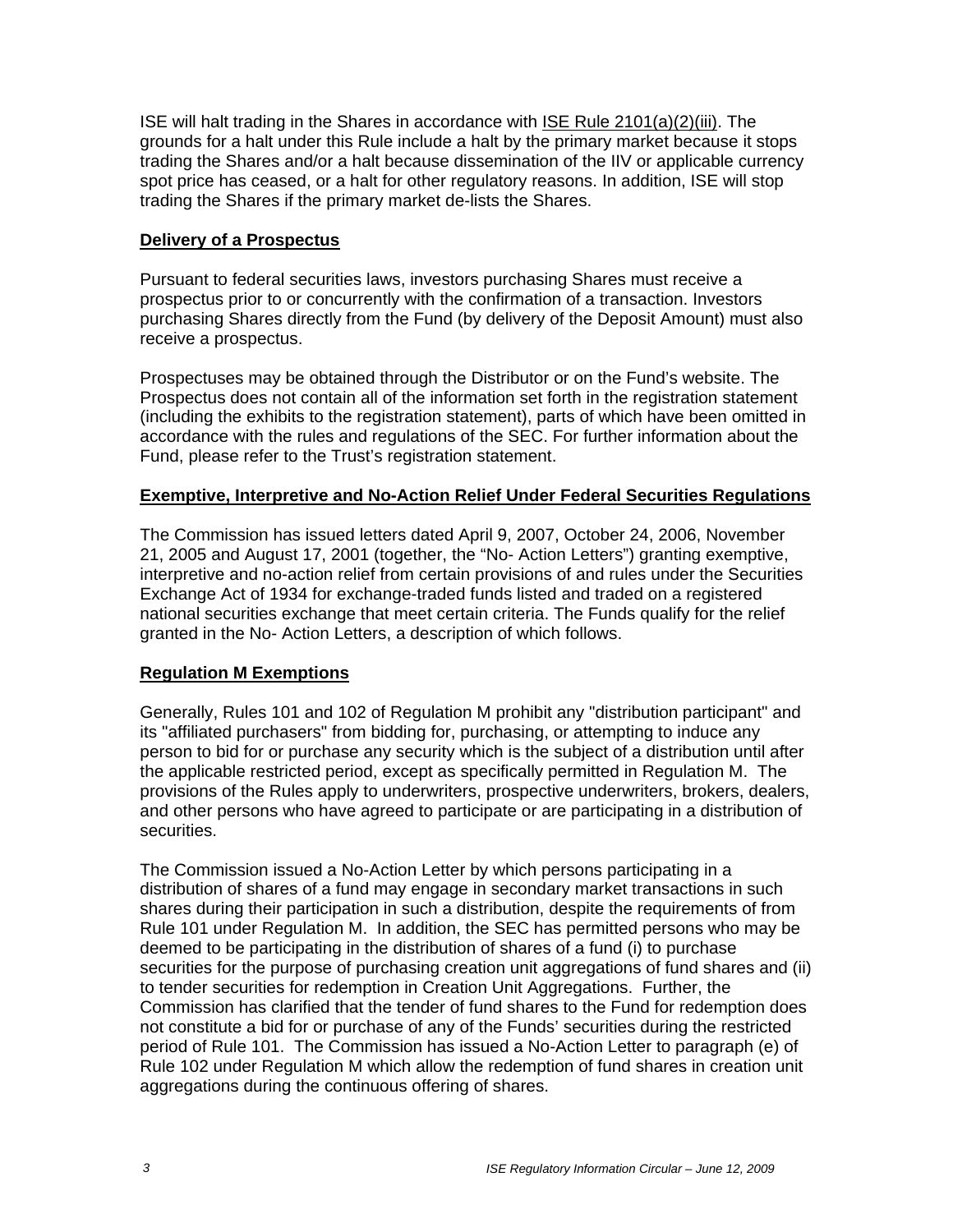ISE will halt trading in the Shares in accordance with ISE Rule 2101(a)(2)(iii). The grounds for a halt under this Rule include a halt by the primary market because it stops trading the Shares and/or a halt because dissemination of the IIV or applicable currency spot price has ceased, or a halt for other regulatory reasons. In addition, ISE will stop trading the Shares if the primary market de-lists the Shares.

#### **Delivery of a Prospectus**

Pursuant to federal securities laws, investors purchasing Shares must receive a prospectus prior to or concurrently with the confirmation of a transaction. Investors purchasing Shares directly from the Fund (by delivery of the Deposit Amount) must also receive a prospectus.

Prospectuses may be obtained through the Distributor or on the Fund's website. The Prospectus does not contain all of the information set forth in the registration statement (including the exhibits to the registration statement), parts of which have been omitted in accordance with the rules and regulations of the SEC. For further information about the Fund, please refer to the Trust's registration statement.

#### **Exemptive, Interpretive and No-Action Relief Under Federal Securities Regulations**

The Commission has issued letters dated April 9, 2007, October 24, 2006, November 21, 2005 and August 17, 2001 (together, the "No- Action Letters") granting exemptive, interpretive and no-action relief from certain provisions of and rules under the Securities Exchange Act of 1934 for exchange-traded funds listed and traded on a registered national securities exchange that meet certain criteria. The Funds qualify for the relief granted in the No- Action Letters, a description of which follows.

# **Regulation M Exemptions**

Generally, Rules 101 and 102 of Regulation M prohibit any "distribution participant" and its "affiliated purchasers" from bidding for, purchasing, or attempting to induce any person to bid for or purchase any security which is the subject of a distribution until after the applicable restricted period, except as specifically permitted in Regulation M. The provisions of the Rules apply to underwriters, prospective underwriters, brokers, dealers, and other persons who have agreed to participate or are participating in a distribution of securities.

The Commission issued a No-Action Letter by which persons participating in a distribution of shares of a fund may engage in secondary market transactions in such shares during their participation in such a distribution, despite the requirements of from Rule 101 under Regulation M. In addition, the SEC has permitted persons who may be deemed to be participating in the distribution of shares of a fund (i) to purchase securities for the purpose of purchasing creation unit aggregations of fund shares and (ii) to tender securities for redemption in Creation Unit Aggregations. Further, the Commission has clarified that the tender of fund shares to the Fund for redemption does not constitute a bid for or purchase of any of the Funds' securities during the restricted period of Rule 101. The Commission has issued a No-Action Letter to paragraph (e) of Rule 102 under Regulation M which allow the redemption of fund shares in creation unit aggregations during the continuous offering of shares.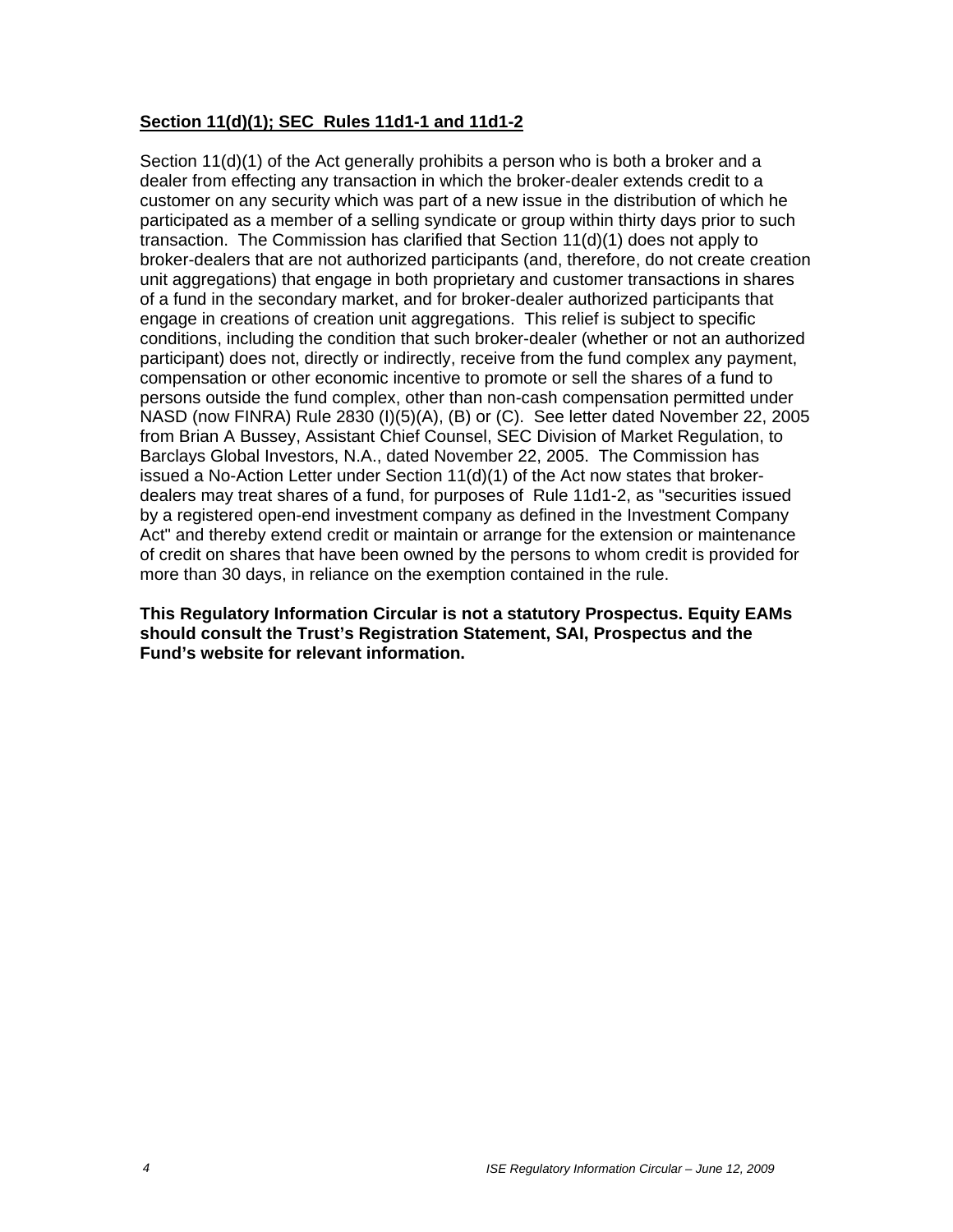# **Section 11(d)(1); SEC Rules 11d1-1 and 11d1-2**

Section 11(d)(1) of the Act generally prohibits a person who is both a broker and a dealer from effecting any transaction in which the broker-dealer extends credit to a customer on any security which was part of a new issue in the distribution of which he participated as a member of a selling syndicate or group within thirty days prior to such transaction. The Commission has clarified that Section 11(d)(1) does not apply to broker-dealers that are not authorized participants (and, therefore, do not create creation unit aggregations) that engage in both proprietary and customer transactions in shares of a fund in the secondary market, and for broker-dealer authorized participants that engage in creations of creation unit aggregations. This relief is subject to specific conditions, including the condition that such broker-dealer (whether or not an authorized participant) does not, directly or indirectly, receive from the fund complex any payment, compensation or other economic incentive to promote or sell the shares of a fund to persons outside the fund complex, other than non-cash compensation permitted under NASD (now FINRA) Rule 2830 (I)(5)(A), (B) or (C). See letter dated November 22, 2005 from Brian A Bussey, Assistant Chief Counsel, SEC Division of Market Regulation, to Barclays Global Investors, N.A., dated November 22, 2005. The Commission has issued a No-Action Letter under Section  $11(d)(1)$  of the Act now states that brokerdealers may treat shares of a fund, for purposes of Rule 11d1-2, as "securities issued by a registered open-end investment company as defined in the Investment Company Act" and thereby extend credit or maintain or arrange for the extension or maintenance of credit on shares that have been owned by the persons to whom credit is provided for more than 30 days, in reliance on the exemption contained in the rule.

**This Regulatory Information Circular is not a statutory Prospectus. Equity EAMs should consult the Trust's Registration Statement, SAI, Prospectus and the Fund's website for relevant information.**